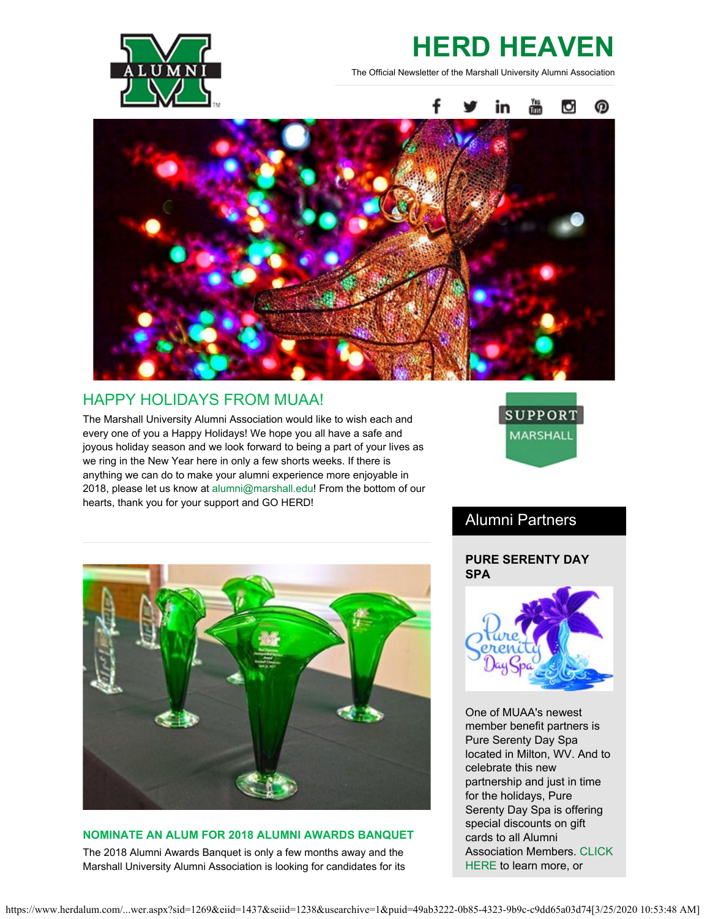

# **HERD HEAVEN**

The Official Newsletter of the Marshall University Alumni Association



# HAPPY HOLIDAYS FROM MUAA!

The Marshall University Alumni Association would like to wish each and every one of you a Happy Holidays! We hope you all have a safe and joyous holiday season and we look forward to being a part of your lives as we ring in the New Year here in only a few shorts weeks. If there is anything we can do to make your alumni experience more enjoyable in 2018, please let us know at [alumni@marshall.edu](mailto:alumni@marshall.edu)! From the bottom of our hearts, thank you for your support and GO HERD!



# Alumni Partners

### **PURE SERENTY DAY SPA**



One of MUAA's newest member benefit partners is Pure Serenty Day Spa located in Milton, WV. And to celebrate this new partnership and just in time for the holidays, Pure Serenty Day Spa is offering special discounts on gift cards to all Alumni Association Members. [CLICK](http://pureserenitydayspa.com/) [HERE](http://pureserenitydayspa.com/) to learn more, or



### **NOMINATE AN ALUM FOR 2018 ALUMNI AWARDS BANQUET**

The 2018 Alumni Awards Banquet is only a few months away and the Marshall University Alumni Association is looking for candidates for its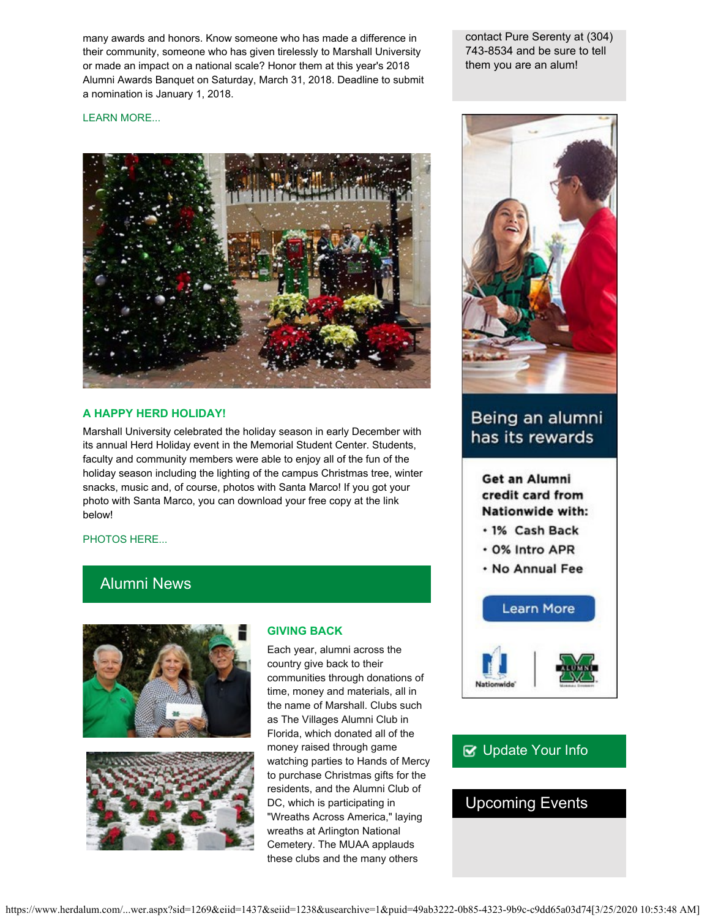many awards and honors. Know someone who has made a difference in their community, someone who has given tirelessly to Marshall University or made an impact on a national scale? Honor them at this year's 2018 Alumni Awards Banquet on Saturday, March 31, 2018. Deadline to submit a nomination is January 1, 2018.

contact Pure Serenty at (304) 743-8534 and be sure to tell them you are an alum!

#### [LEARN MORE...](http://www.herdalum.com/s/1269/index.aspx?sid=1269&gid=1&pgid=1006)



#### **A HAPPY HERD HOLIDAY!**

Marshall University celebrated the holiday season in early December with its annual Herd Holiday event in the Memorial Student Center. Students, faculty and community members were able to enjoy all of the fun of the holiday season including the lighting of the campus Christmas tree, winter snacks, music and, of course, photos with Santa Marco! If you got your photo with Santa Marco, you can download your free copy at the link below!

#### [PHOTOS HERE...](http://muphotos.marshall.edu/Santa-Marco-photos-2017/)

## Alumni News





#### **GIVING BACK**

Each year, alumni across the country give back to their communities through donations of time, money and materials, all in the name of Marshall. Clubs such as The Villages Alumni Club in Florida, which donated all of the money raised through game watching parties to Hands of Mercy to purchase Christmas gifts for the residents, and the Alumni Club of DC, which is participating in "Wreaths Across America," laying wreaths at Arlington National Cemetery. The MUAA applauds these clubs and the many others



# Being an alumni has its rewards

Get an Alumni credit card from Nationwide with:

- · 1% Cash Back
- . 0% Intro APR
- . No Annual Fee



# **■** [Update Your Info](http://www.herdalum.com/s/1269/index.aspx?sid=1269&gid=1&pgid=6&cid=41#/Search/Simple)

## Upcoming Events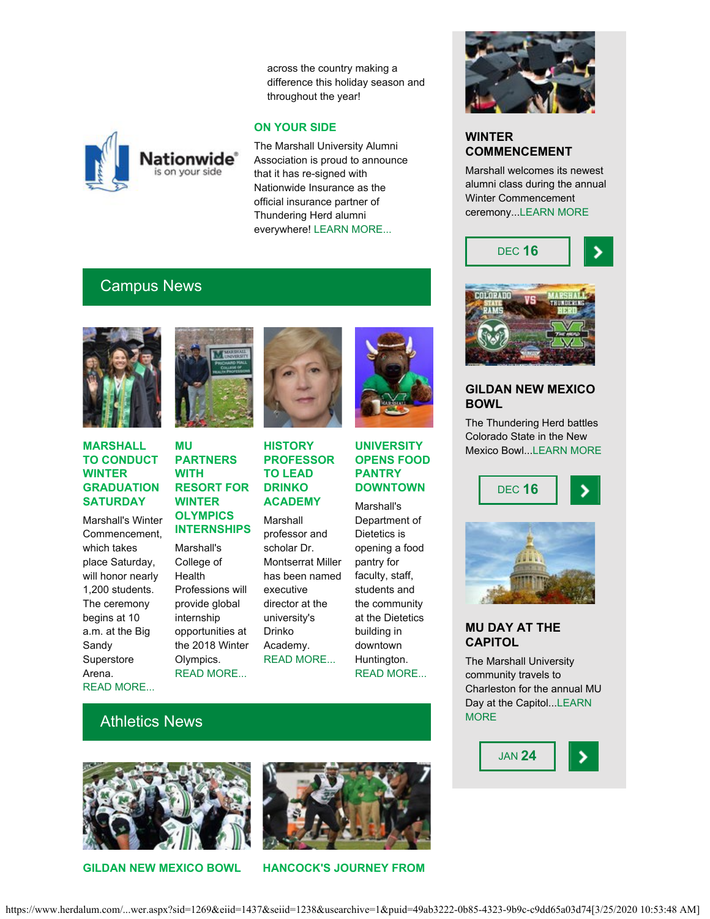across the country making a difference this holiday season and throughout the year!

#### **ON YOUR SIDE**

The Marshall University Alumni Association is proud to announce that it has re-signed with Nationwide Insurance as the official insurance partner of Thundering Herd alumni everywhere! [LEARN MORE...](https://www.nationwide.com/marshall.jsp)

# Campus News



#### **MARSHALL TO CONDUCT WINTER GRADUATION SATURDAY**

Marshall's Winter Commencement, which takes place Saturday, will honor nearly 1,200 students. The ceremony begins at 10 a.m. at the Big Sandy Superstore Arena. [READ MORE...](https://www.marshall.edu/ucomm/2017/12/12/marshall-conduct-winter-commencement-saturday/)



**lationwide** s on your side

#### **MU PARTNERS WITH RESORT FOR WINTER OLYMPICS INTERNSHIPS**

Marshall's College of Health Professions will provide global internship opportunities at the 2018 Winter Olympics. [READ MORE...](https://www.marshall.edu/ucomm/2017/12/11/mu-partners-south-koreas-yongpyong-resort-student-internships-2018-winter-olympics/)



### **HISTORY PROFESSOR TO LEAD DRINKO ACADEMY** Marshall professor and scholar Dr. Montserrat Miller has been named

executive director at the university's Drinko Academy. [READ MORE...](https://www.marshall.edu/ucomm/2017/12/05/history-professor-scholar-lead-drinko-academy/)



### **UNIVERSITY OPENS FOOD PANTRY DOWNTOWN**

Marshall's Department of Dietetics is opening a food pantry for faculty, staff, students and the community at the Dietetics building in downtown Huntington. [READ MORE..](https://www.marshall.edu/ucomm/2017/11/09/marshall-university-opens-community-food-pantry-downtown-huntington/)[.](https://www.marshall.edu/ucomm/2017/10/16/lewis-college-business-named-leading-business-school/)



### **WINTER COMMENCEMENT**

Marshall welcomes its newest alumni class during the annual Winter Commencement ceremony..[.LEARN MORE](http://www.marshall.edu/wamnewsletter/2017/12/marshall-to-conduct-winter-commencement-saturday/)





### **GILDAN NEW MEXICO BOWL**

The Thundering Herd battles Colorado State in the New Mexico Bowl..[.LEARN MORE](http://www.gildannewmexicobowl.com/)

> DEC **16** ⋗



### **MU DAY AT THE CAPITOL**

The Marshall University community travels to Charleston for the annual MU Day at the Capitol..[.LEARN](http://www.herdalum.com/s/1269/index.aspx?sid=1269&gid=1&pgid=836) **[MORE](http://www.herdalum.com/s/1269/index.aspx?sid=1269&gid=1&pgid=836)** 



# Athletics News





**GILDAN NEW MEXICO BOWL HANCOCK'S JOURNEY FROM**